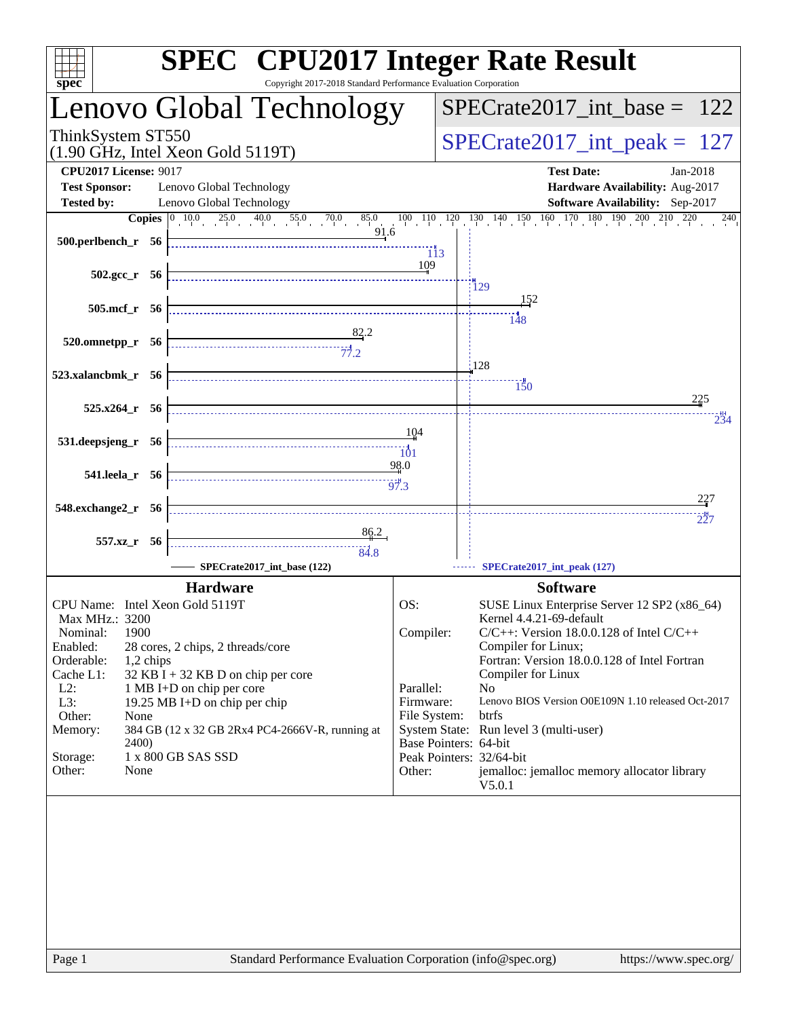| <b>SPEC<sup>®</sup></b> CPU2017 Integer Rate Result<br>Copyright 2017-2018 Standard Performance Evaluation Corporation |                                                                   |                           |                                                                                                                                                                                    |  |  |  |  |  |
|------------------------------------------------------------------------------------------------------------------------|-------------------------------------------------------------------|---------------------------|------------------------------------------------------------------------------------------------------------------------------------------------------------------------------------|--|--|--|--|--|
| spec <sup>®</sup>                                                                                                      | Lenovo Global Technology                                          |                           | $SPECrate2017\_int\_base = 122$                                                                                                                                                    |  |  |  |  |  |
| ThinkSystem ST550                                                                                                      |                                                                   |                           |                                                                                                                                                                                    |  |  |  |  |  |
|                                                                                                                        | $(1.90$ GHz, Intel Xeon Gold 5119T)                               |                           | $SPECrate2017\_int\_peak = 127$                                                                                                                                                    |  |  |  |  |  |
| <b>CPU2017 License: 9017</b><br><b>Test Sponsor:</b>                                                                   | Lenovo Global Technology                                          |                           | <b>Test Date:</b><br>Jan-2018<br>Hardware Availability: Aug-2017                                                                                                                   |  |  |  |  |  |
| Tested by:                                                                                                             | Lenovo Global Technology                                          |                           | Software Availability: Sep-2017                                                                                                                                                    |  |  |  |  |  |
|                                                                                                                        |                                                                   |                           | <b>Copies</b> $\begin{bmatrix} 0 & 10 & 0 & 25 & 0 & 40 & 0 & 55 & 0 & 70 & 0 & 85 & 0 & 10 & 110 & 120 & 130 & 140 & 150 & 160 & 170 & 180 & 190 & 200 & 210 & 220 \end{bmatrix}$ |  |  |  |  |  |
|                                                                                                                        |                                                                   | 113                       |                                                                                                                                                                                    |  |  |  |  |  |
| $502.\text{sec}\text{r}$ 56                                                                                            |                                                                   | 109                       |                                                                                                                                                                                    |  |  |  |  |  |
|                                                                                                                        |                                                                   |                           | 129<br>152                                                                                                                                                                         |  |  |  |  |  |
| 505.mcf_r 56                                                                                                           |                                                                   |                           | $\frac{11}{148}$                                                                                                                                                                   |  |  |  |  |  |
| $520.0$ mnetpp_r $56$                                                                                                  | $\frac{82.2}{77.2}$                                               |                           |                                                                                                                                                                                    |  |  |  |  |  |
| 523.xalancbmk r 56                                                                                                     |                                                                   |                           | $\frac{1}{28}$                                                                                                                                                                     |  |  |  |  |  |
|                                                                                                                        |                                                                   |                           | 150<br>225                                                                                                                                                                         |  |  |  |  |  |
| 525.x264_r 56                                                                                                          |                                                                   |                           | 234                                                                                                                                                                                |  |  |  |  |  |
| 531.deepsjeng_r 56                                                                                                     |                                                                   | 104                       |                                                                                                                                                                                    |  |  |  |  |  |
| 541.leela_r 56                                                                                                         |                                                                   | 98.0                      |                                                                                                                                                                                    |  |  |  |  |  |
|                                                                                                                        |                                                                   |                           |                                                                                                                                                                                    |  |  |  |  |  |
| 548.exchange2_r 56                                                                                                     |                                                                   |                           | 227<br>227                                                                                                                                                                         |  |  |  |  |  |
| 557.xz_r 56                                                                                                            | 86.2                                                              |                           |                                                                                                                                                                                    |  |  |  |  |  |
|                                                                                                                        | SPECrate2017 int base (122)                                       |                           | SPECrate2017_int_peak (127)                                                                                                                                                        |  |  |  |  |  |
|                                                                                                                        | <b>Hardware</b>                                                   |                           | <b>Software</b>                                                                                                                                                                    |  |  |  |  |  |
| CPU Name: Intel Xeon Gold 5119T<br>Max MHz.: 3200                                                                      |                                                                   | OS:                       | SUSE Linux Enterprise Server 12 SP2 (x86_64)<br>Kernel 4.4.21-69-default                                                                                                           |  |  |  |  |  |
| 1900<br>Nominal:                                                                                                       |                                                                   | Compiler:                 | $C/C++$ : Version 18.0.0.128 of Intel $C/C++$                                                                                                                                      |  |  |  |  |  |
| Enabled:<br>Orderable:<br>1,2 chips                                                                                    | 28 cores, 2 chips, 2 threads/core                                 |                           | Compiler for Linux;<br>Fortran: Version 18.0.0.128 of Intel Fortran                                                                                                                |  |  |  |  |  |
| Cache L1:<br>$L2$ :                                                                                                    | $32$ KB I + 32 KB D on chip per core<br>1 MB I+D on chip per core | Parallel:                 | Compiler for Linux<br>N <sub>o</sub>                                                                                                                                               |  |  |  |  |  |
| L3:<br>Other:<br>None                                                                                                  | 19.25 MB I+D on chip per chip                                     | Firmware:<br>File System: | Lenovo BIOS Version O0E109N 1.10 released Oct-2017<br>btrfs                                                                                                                        |  |  |  |  |  |
| Memory:                                                                                                                | 384 GB (12 x 32 GB 2Rx4 PC4-2666V-R, running at                   |                           | System State: Run level 3 (multi-user)                                                                                                                                             |  |  |  |  |  |
| 2400)<br>Storage:                                                                                                      | 1 x 800 GB SAS SSD                                                |                           | Base Pointers: 64-bit<br>Peak Pointers: 32/64-bit                                                                                                                                  |  |  |  |  |  |
| None<br>Other:                                                                                                         |                                                                   | Other:                    | jemalloc: jemalloc memory allocator library<br>V5.0.1                                                                                                                              |  |  |  |  |  |
|                                                                                                                        |                                                                   |                           |                                                                                                                                                                                    |  |  |  |  |  |
|                                                                                                                        |                                                                   |                           |                                                                                                                                                                                    |  |  |  |  |  |
|                                                                                                                        |                                                                   |                           |                                                                                                                                                                                    |  |  |  |  |  |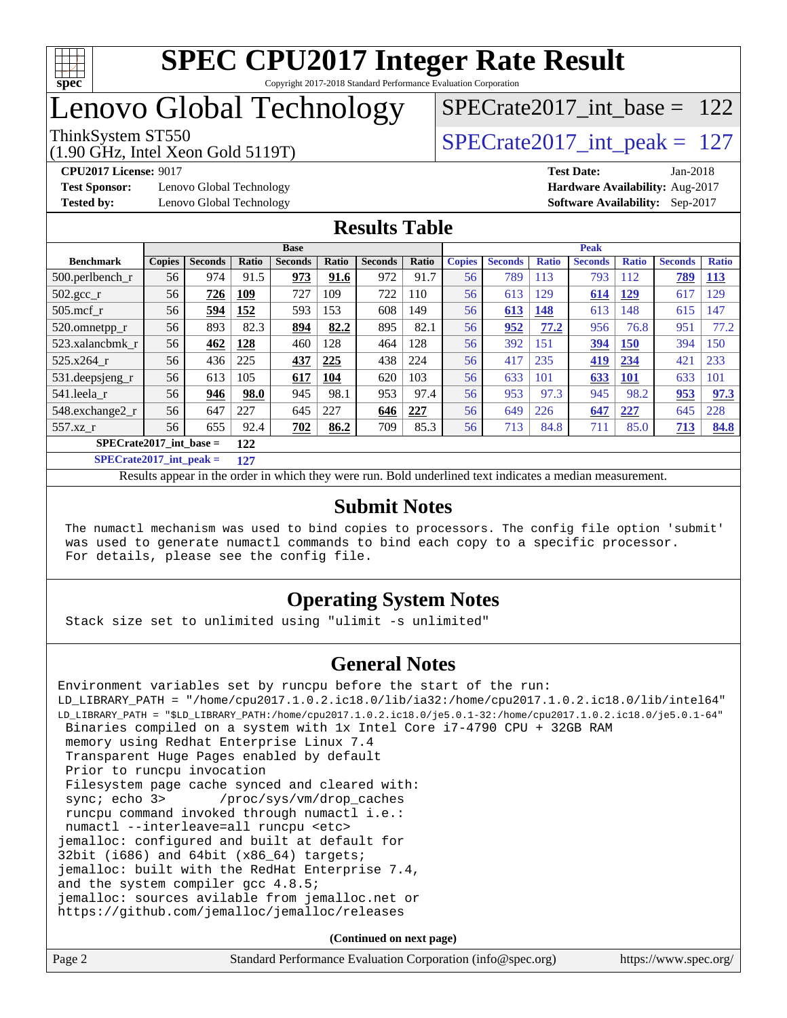

## Lenovo Global Technology

[SPECrate2017\\_int\\_base =](http://www.spec.org/auto/cpu2017/Docs/result-fields.html#SPECrate2017intbase) 122

### ThinkSystem ST550  $SPECrate2017\_int\_peak = 127$

(1.90 GHz, Intel Xeon Gold 5119T)

**[Test Sponsor:](http://www.spec.org/auto/cpu2017/Docs/result-fields.html#TestSponsor)** Lenovo Global Technology **[Hardware Availability:](http://www.spec.org/auto/cpu2017/Docs/result-fields.html#HardwareAvailability)** Aug-2017

**[CPU2017 License:](http://www.spec.org/auto/cpu2017/Docs/result-fields.html#CPU2017License)** 9017 **[Test Date:](http://www.spec.org/auto/cpu2017/Docs/result-fields.html#TestDate)** Jan-2018

**[Tested by:](http://www.spec.org/auto/cpu2017/Docs/result-fields.html#Testedby)** Lenovo Global Technology **[Software Availability:](http://www.spec.org/auto/cpu2017/Docs/result-fields.html#SoftwareAvailability)** Sep-2017

### **[Results Table](http://www.spec.org/auto/cpu2017/Docs/result-fields.html#ResultsTable)**

|                                  | <b>Base</b>   |                |       |                |       | <b>Peak</b>    |       |               |                |              |                |              |                |              |
|----------------------------------|---------------|----------------|-------|----------------|-------|----------------|-------|---------------|----------------|--------------|----------------|--------------|----------------|--------------|
| <b>Benchmark</b>                 | <b>Copies</b> | <b>Seconds</b> | Ratio | <b>Seconds</b> | Ratio | <b>Seconds</b> | Ratio | <b>Copies</b> | <b>Seconds</b> | <b>Ratio</b> | <b>Seconds</b> | <b>Ratio</b> | <b>Seconds</b> | <b>Ratio</b> |
| 500.perlbench r                  | 56            | 974            | 91.5  | 973            | 91.6  | 972            | 91.7  | 56            | 789            | 113          | 793            | 112          | 789            | <b>113</b>   |
| 502.gcc_r                        | 56            | 726            | 109   | 727            | 109   | 722            | 110   | 56            | 613            | 129          | 614            | 129          | 617            | 129          |
| $505$ .mcf r                     | 56            | 594            | 152   | 593            | 153   | 608            | 149   | 56            | 613            | 148          | 613            | 148          | 615            | 147          |
| 520.omnetpp_r                    | 56            | 893            | 82.3  | 894            | 82.2  | 895            | 82.1  | 56            | 952            | 77.2         | 956            | 76.8         | 951            | 77.2         |
| 523.xalancbmk r                  | 56            | 462            | 128   | 460            | 128   | 464            | 128   | 56            | 392            | 151          | 394            | <b>150</b>   | 394            | 150          |
| 525.x264 r                       | 56            | 436            | 225   | 437            | 225   | 438            | 224   | 56            | 417            | 235          | 419            | 234          | 421            | 233          |
| 531.deepsjeng_r                  | 56            | 613            | 105   | 617            | 104   | 620            | 103   | 56            | 633            | 101          | 633            | <b>101</b>   | 633            | 101          |
| 541.leela_r                      | 56            | 946            | 98.0  | 945            | 98.1  | 953            | 97.4  | 56            | 953            | 97.3         | 945            | 98.2         | 953            | 97.3         |
| 548.exchange2_r                  | 56            | 647            | 227   | 645            | 227   | 646            | 227   | 56            | 649            | 226          | 647            | 227          | 645            | 228          |
| 557.xz r                         | 56            | 655            | 92.4  | 702            | 86.2  | 709            | 85.3  | 56            | 713            | 84.8         | 711            | 85.0         | 713            | 84.8         |
| $SPECrate2017$ int base =<br>122 |               |                |       |                |       |                |       |               |                |              |                |              |                |              |

**[SPECrate2017\\_int\\_peak =](http://www.spec.org/auto/cpu2017/Docs/result-fields.html#SPECrate2017intpeak) 127**

Results appear in the [order in which they were run.](http://www.spec.org/auto/cpu2017/Docs/result-fields.html#RunOrder) Bold underlined text [indicates a median measurement.](http://www.spec.org/auto/cpu2017/Docs/result-fields.html#Median)

#### **[Submit Notes](http://www.spec.org/auto/cpu2017/Docs/result-fields.html#SubmitNotes)**

 The numactl mechanism was used to bind copies to processors. The config file option 'submit' was used to generate numactl commands to bind each copy to a specific processor. For details, please see the config file.

### **[Operating System Notes](http://www.spec.org/auto/cpu2017/Docs/result-fields.html#OperatingSystemNotes)**

Stack size set to unlimited using "ulimit -s unlimited"

### **[General Notes](http://www.spec.org/auto/cpu2017/Docs/result-fields.html#GeneralNotes)**

Environment variables set by runcpu before the start of the run: LD\_LIBRARY\_PATH = "/home/cpu2017.1.0.2.ic18.0/lib/ia32:/home/cpu2017.1.0.2.ic18.0/lib/intel64" LD\_LIBRARY\_PATH = "\$LD\_LIBRARY\_PATH:/home/cpu2017.1.0.2.ic18.0/je5.0.1-32:/home/cpu2017.1.0.2.ic18.0/je5.0.1-64" Binaries compiled on a system with 1x Intel Core i7-4790 CPU + 32GB RAM memory using Redhat Enterprise Linux 7.4 Transparent Huge Pages enabled by default Prior to runcpu invocation Filesystem page cache synced and cleared with: sync; echo 3> /proc/sys/vm/drop\_caches runcpu command invoked through numactl i.e.: numactl --interleave=all runcpu <etc> jemalloc: configured and built at default for 32bit (i686) and 64bit (x86\_64) targets; jemalloc: built with the RedHat Enterprise 7.4, and the system compiler gcc 4.8.5; jemalloc: sources avilable from jemalloc.net or <https://github.com/jemalloc/jemalloc/releases>

**(Continued on next page)**

| Page 2 | Standard Performance Evaluation Corporation (info@spec.org) | https://www.spec.org/ |
|--------|-------------------------------------------------------------|-----------------------|
|--------|-------------------------------------------------------------|-----------------------|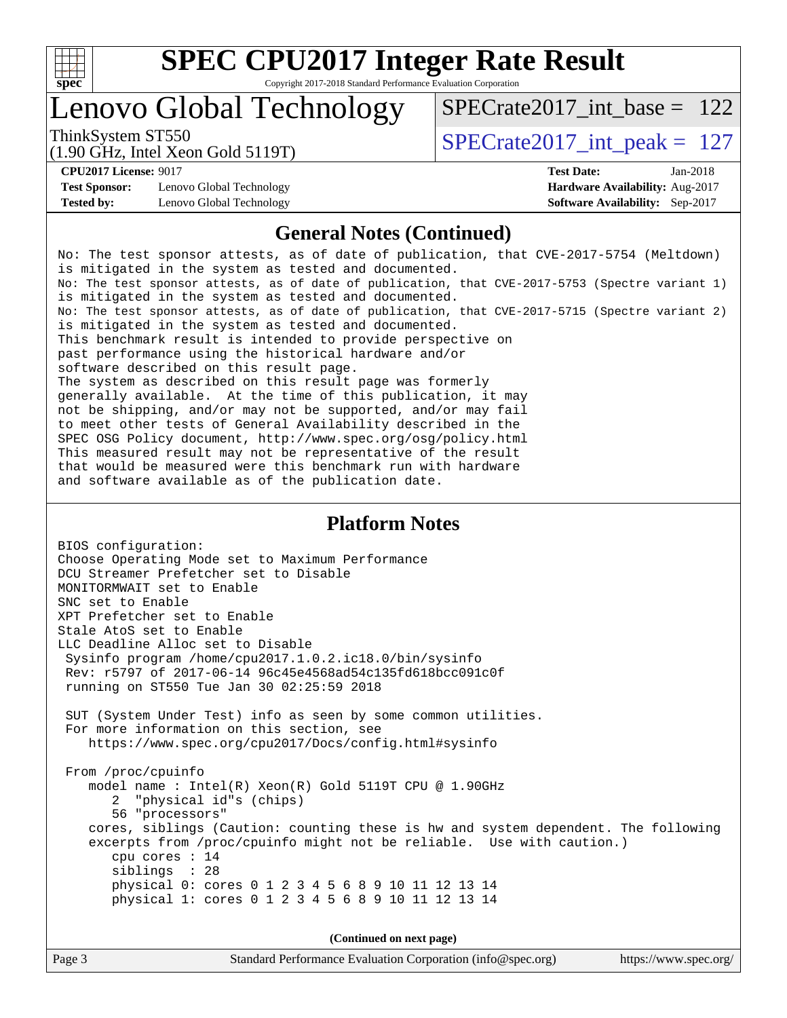

### Lenovo Global Technology

ThinkSystem ST550  $SPECrate2017\_int\_peak = 127$ [SPECrate2017\\_int\\_base =](http://www.spec.org/auto/cpu2017/Docs/result-fields.html#SPECrate2017intbase) 122

(1.90 GHz, Intel Xeon Gold 5119T)

**[Test Sponsor:](http://www.spec.org/auto/cpu2017/Docs/result-fields.html#TestSponsor)** Lenovo Global Technology **[Hardware Availability:](http://www.spec.org/auto/cpu2017/Docs/result-fields.html#HardwareAvailability)** Aug-2017 **[Tested by:](http://www.spec.org/auto/cpu2017/Docs/result-fields.html#Testedby)** Lenovo Global Technology **[Software Availability:](http://www.spec.org/auto/cpu2017/Docs/result-fields.html#SoftwareAvailability)** Sep-2017

**[CPU2017 License:](http://www.spec.org/auto/cpu2017/Docs/result-fields.html#CPU2017License)** 9017 **[Test Date:](http://www.spec.org/auto/cpu2017/Docs/result-fields.html#TestDate)** Jan-2018

### **[General Notes \(Continued\)](http://www.spec.org/auto/cpu2017/Docs/result-fields.html#GeneralNotes)**

No: The test sponsor attests, as of date of publication, that CVE-2017-5754 (Meltdown) is mitigated in the system as tested and documented. No: The test sponsor attests, as of date of publication, that CVE-2017-5753 (Spectre variant 1) is mitigated in the system as tested and documented. No: The test sponsor attests, as of date of publication, that CVE-2017-5715 (Spectre variant 2) is mitigated in the system as tested and documented. This benchmark result is intended to provide perspective on past performance using the historical hardware and/or software described on this result page. The system as described on this result page was formerly generally available. At the time of this publication, it may not be shipping, and/or may not be supported, and/or may fail to meet other tests of General Availability described in the SPEC OSG Policy document, <http://www.spec.org/osg/policy.html> This measured result may not be representative of the result that would be measured were this benchmark run with hardware and software available as of the publication date.

### **[Platform Notes](http://www.spec.org/auto/cpu2017/Docs/result-fields.html#PlatformNotes)**

BIOS configuration: Choose Operating Mode set to Maximum Performance DCU Streamer Prefetcher set to Disable MONITORMWAIT set to Enable SNC set to Enable XPT Prefetcher set to Enable Stale AtoS set to Enable LLC Deadline Alloc set to Disable Sysinfo program /home/cpu2017.1.0.2.ic18.0/bin/sysinfo Rev: r5797 of 2017-06-14 96c45e4568ad54c135fd618bcc091c0f running on ST550 Tue Jan 30 02:25:59 2018 SUT (System Under Test) info as seen by some common utilities. For more information on this section, see <https://www.spec.org/cpu2017/Docs/config.html#sysinfo> From /proc/cpuinfo model name : Intel(R) Xeon(R) Gold 5119T CPU @ 1.90GHz 2 "physical id"s (chips) 56 "processors" cores, siblings (Caution: counting these is hw and system dependent. The following excerpts from /proc/cpuinfo might not be reliable. Use with caution.) cpu cores : 14 siblings : 28 physical 0: cores 0 1 2 3 4 5 6 8 9 10 11 12 13 14 physical 1: cores 0 1 2 3 4 5 6 8 9 10 11 12 13 14

**(Continued on next page)**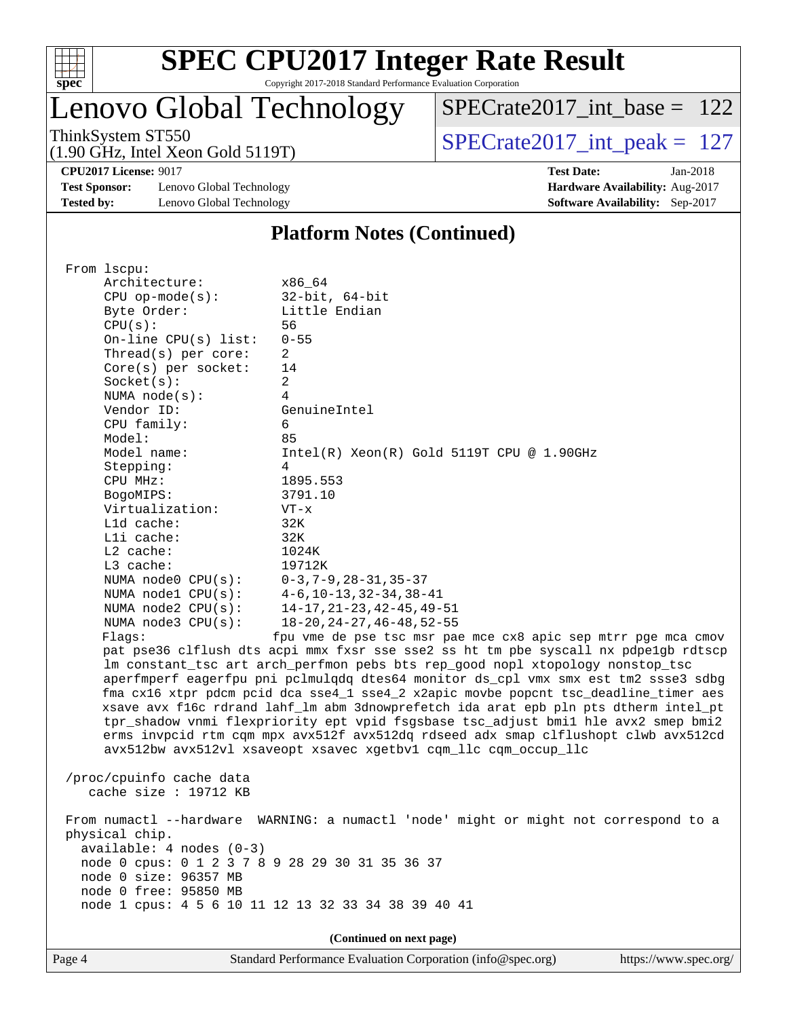

## **[SPEC CPU2017 Integer Rate Result](http://www.spec.org/auto/cpu2017/Docs/result-fields.html#SPECCPU2017IntegerRateResult)**

Copyright 2017-2018 Standard Performance Evaluation Corporation

Lenovo Global Technology

 $SPECrate2017\_int\_base = 122$ 

(1.90 GHz, Intel Xeon Gold 5119T)

ThinkSystem ST550  $SPECrate2017\_int\_peak = 127$ 

**[CPU2017 License:](http://www.spec.org/auto/cpu2017/Docs/result-fields.html#CPU2017License)** 9017 **[Test Date:](http://www.spec.org/auto/cpu2017/Docs/result-fields.html#TestDate)** Jan-2018

**[Test Sponsor:](http://www.spec.org/auto/cpu2017/Docs/result-fields.html#TestSponsor)** Lenovo Global Technology **[Hardware Availability:](http://www.spec.org/auto/cpu2017/Docs/result-fields.html#HardwareAvailability)** Aug-2017 **[Tested by:](http://www.spec.org/auto/cpu2017/Docs/result-fields.html#Testedby)** Lenovo Global Technology **[Software Availability:](http://www.spec.org/auto/cpu2017/Docs/result-fields.html#SoftwareAvailability)** Sep-2017

**[Platform Notes \(Continued\)](http://www.spec.org/auto/cpu2017/Docs/result-fields.html#PlatformNotes)**

Page 4 Standard Performance Evaluation Corporation [\(info@spec.org\)](mailto:info@spec.org) <https://www.spec.org/> From lscpu: Architecture: x86\_64 CPU op-mode(s): 32-bit, 64-bit Byte Order: Little Endian CPU(s): 56 On-line CPU(s) list: 0-55 Thread(s) per core: 2 Core(s) per socket: 14 Socket(s): 2 NUMA node(s): 4 Vendor ID: GenuineIntel CPU family: 6 Model: 85 Model name:  $Intel(R)$  Xeon(R) Gold 5119T CPU @ 1.90GHz Stepping: 4 CPU MHz: 1895.553 BogoMIPS: 3791.10 Virtualization: VT-x L1d cache: 32K L1i cache: 32K L2 cache: 1024K L3 cache: 19712K NUMA node0 CPU(s): 0-3,7-9,28-31,35-37 NUMA node1 CPU(s): 4-6,10-13,32-34,38-41 NUMA node2 CPU(s): 14-17,21-23,42-45,49-51 NUMA node3 CPU(s): 18-20,24-27,46-48,52-55 Flags: fpu vme de pse tsc msr pae mce cx8 apic sep mtrr pge mca cmov pat pse36 clflush dts acpi mmx fxsr sse sse2 ss ht tm pbe syscall nx pdpe1gb rdtscp lm constant\_tsc art arch\_perfmon pebs bts rep\_good nopl xtopology nonstop\_tsc aperfmperf eagerfpu pni pclmulqdq dtes64 monitor ds\_cpl vmx smx est tm2 ssse3 sdbg fma cx16 xtpr pdcm pcid dca sse4\_1 sse4\_2 x2apic movbe popcnt tsc\_deadline\_timer aes xsave avx f16c rdrand lahf\_lm abm 3dnowprefetch ida arat epb pln pts dtherm intel\_pt tpr\_shadow vnmi flexpriority ept vpid fsgsbase tsc\_adjust bmi1 hle avx2 smep bmi2 erms invpcid rtm cqm mpx avx512f avx512dq rdseed adx smap clflushopt clwb avx512cd avx512bw avx512vl xsaveopt xsavec xgetbv1 cqm\_llc cqm\_occup\_llc /proc/cpuinfo cache data cache size : 19712 KB From numactl --hardware WARNING: a numactl 'node' might or might not correspond to a physical chip. available: 4 nodes (0-3) node 0 cpus: 0 1 2 3 7 8 9 28 29 30 31 35 36 37 node 0 size: 96357 MB node 0 free: 95850 MB node 1 cpus: 4 5 6 10 11 12 13 32 33 34 38 39 40 41 **(Continued on next page)**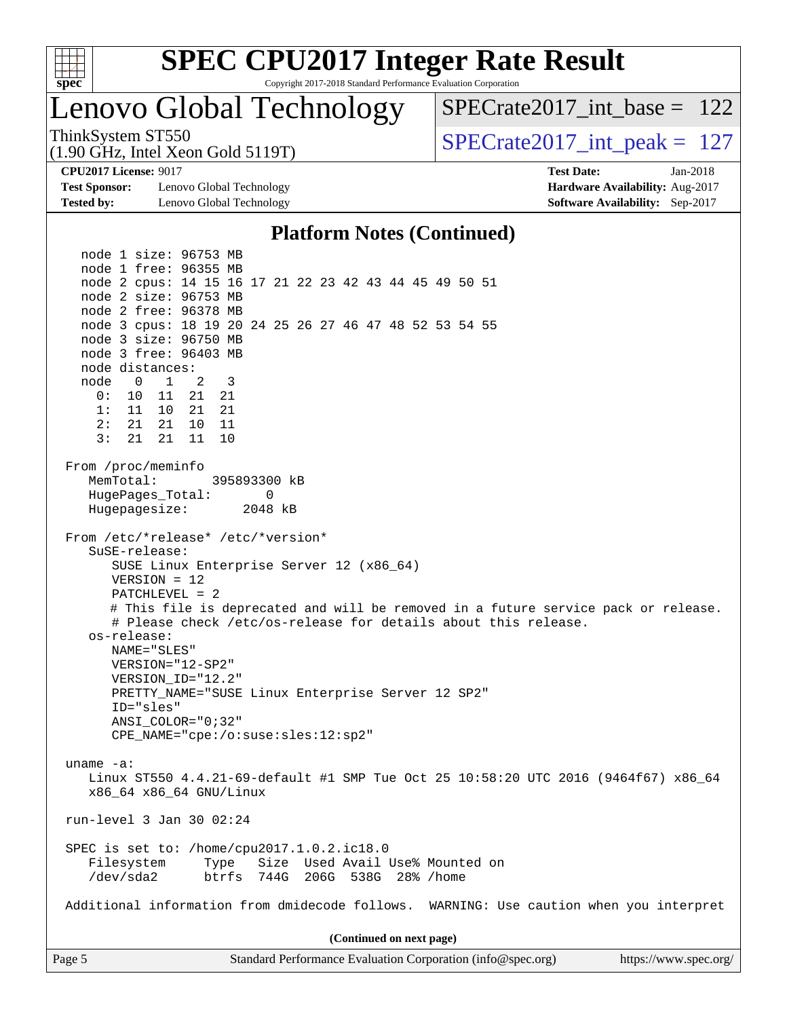

## **[SPEC CPU2017 Integer Rate Result](http://www.spec.org/auto/cpu2017/Docs/result-fields.html#SPECCPU2017IntegerRateResult)**

Copyright 2017-2018 Standard Performance Evaluation Corporation

### Lenovo Global Technology

[SPECrate2017\\_int\\_base =](http://www.spec.org/auto/cpu2017/Docs/result-fields.html#SPECrate2017intbase) 122

(1.90 GHz, Intel Xeon Gold 5119T)

ThinkSystem ST550  $SPECrate2017\_int\_peak = 127$ 

**[Test Sponsor:](http://www.spec.org/auto/cpu2017/Docs/result-fields.html#TestSponsor)** Lenovo Global Technology **[Hardware Availability:](http://www.spec.org/auto/cpu2017/Docs/result-fields.html#HardwareAvailability)** Aug-2017 **[Tested by:](http://www.spec.org/auto/cpu2017/Docs/result-fields.html#Testedby)** Lenovo Global Technology **[Software Availability:](http://www.spec.org/auto/cpu2017/Docs/result-fields.html#SoftwareAvailability)** Sep-2017

**[CPU2017 License:](http://www.spec.org/auto/cpu2017/Docs/result-fields.html#CPU2017License)** 9017 **[Test Date:](http://www.spec.org/auto/cpu2017/Docs/result-fields.html#TestDate)** Jan-2018

#### **[Platform Notes \(Continued\)](http://www.spec.org/auto/cpu2017/Docs/result-fields.html#PlatformNotes)**

 node 1 size: 96753 MB node 1 free: 96355 MB node 2 cpus: 14 15 16 17 21 22 23 42 43 44 45 49 50 51 node 2 size: 96753 MB node 2 free: 96378 MB node 3 cpus: 18 19 20 24 25 26 27 46 47 48 52 53 54 55 node 3 size: 96750 MB node 3 free: 96403 MB node distances: node 0 1 2 3 0: 10 11 21 21 1: 11 10 21 21 2: 21 21 10 11 3: 21 21 11 10 From /proc/meminfo MemTotal: 395893300 kB HugePages\_Total: 0 Hugepagesize: 2048 kB From /etc/\*release\* /etc/\*version\* SuSE-release: SUSE Linux Enterprise Server 12 (x86\_64) VERSION = 12 PATCHLEVEL = 2 # This file is deprecated and will be removed in a future service pack or release. # Please check /etc/os-release for details about this release. os-release: NAME="SLES" VERSION="12-SP2" VERSION\_ID="12.2" PRETTY\_NAME="SUSE Linux Enterprise Server 12 SP2" ID="sles" ANSI\_COLOR="0;32" CPE\_NAME="cpe:/o:suse:sles:12:sp2" uname -a: Linux ST550 4.4.21-69-default #1 SMP Tue Oct 25 10:58:20 UTC 2016 (9464f67) x86\_64 x86\_64 x86\_64 GNU/Linux run-level 3 Jan 30 02:24 SPEC is set to: /home/cpu2017.1.0.2.ic18.0 Filesystem Type Size Used Avail Use% Mounted on /dev/sda2 btrfs 744G 206G 538G 28% /home Additional information from dmidecode follows. WARNING: Use caution when you interpret **(Continued on next page)**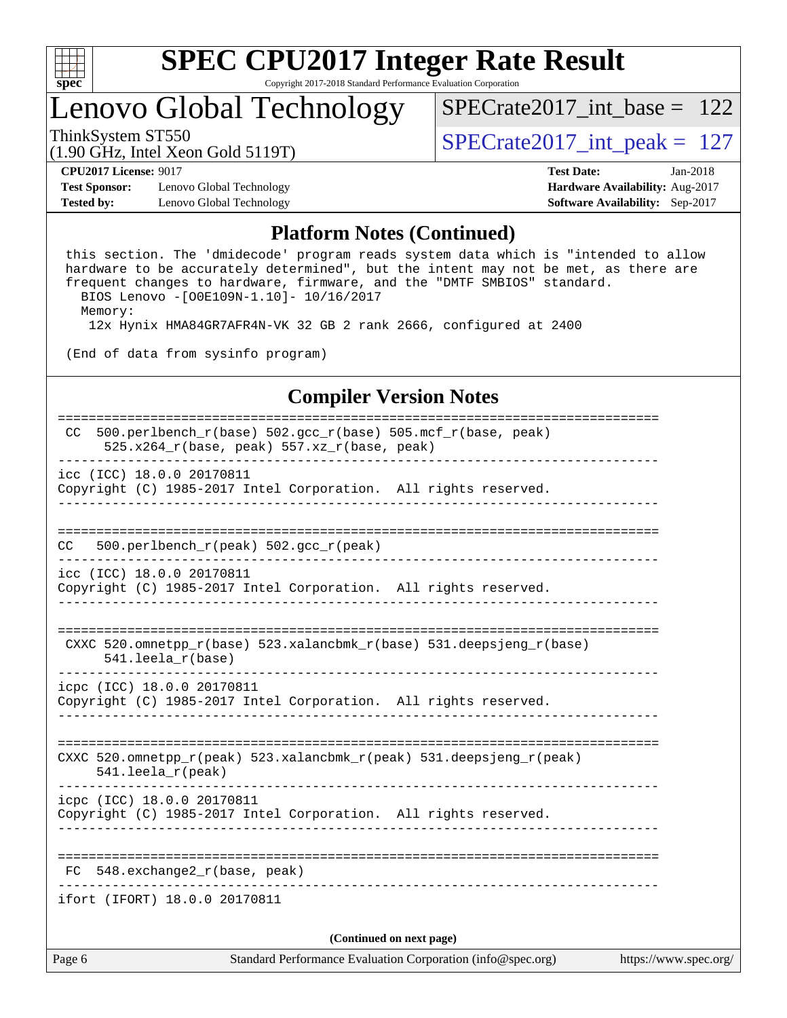

# Lenovo Global Technology

 $SPECTate2017\_int\_peak = 127$ [SPECrate2017\\_int\\_base =](http://www.spec.org/auto/cpu2017/Docs/result-fields.html#SPECrate2017intbase) 122

(1.90 GHz, Intel Xeon Gold 5119T)

**[Test Sponsor:](http://www.spec.org/auto/cpu2017/Docs/result-fields.html#TestSponsor)** Lenovo Global Technology **[Hardware Availability:](http://www.spec.org/auto/cpu2017/Docs/result-fields.html#HardwareAvailability)** Aug-2017 **[Tested by:](http://www.spec.org/auto/cpu2017/Docs/result-fields.html#Testedby)** Lenovo Global Technology **[Software Availability:](http://www.spec.org/auto/cpu2017/Docs/result-fields.html#SoftwareAvailability)** Sep-2017

**[CPU2017 License:](http://www.spec.org/auto/cpu2017/Docs/result-fields.html#CPU2017License)** 9017 **[Test Date:](http://www.spec.org/auto/cpu2017/Docs/result-fields.html#TestDate)** Jan-2018

#### **[Platform Notes \(Continued\)](http://www.spec.org/auto/cpu2017/Docs/result-fields.html#PlatformNotes)**

 this section. The 'dmidecode' program reads system data which is "intended to allow hardware to be accurately determined", but the intent may not be met, as there are frequent changes to hardware, firmware, and the "DMTF SMBIOS" standard. BIOS Lenovo -[O0E109N-1.10]- 10/16/2017

Memory:

12x Hynix HMA84GR7AFR4N-VK 32 GB 2 rank 2666, configured at 2400

(End of data from sysinfo program)

### **[Compiler Version Notes](http://www.spec.org/auto/cpu2017/Docs/result-fields.html#CompilerVersionNotes)**

Page 6 Standard Performance Evaluation Corporation [\(info@spec.org\)](mailto:info@spec.org) <https://www.spec.org/> ============================================================================== CC 500.perlbench\_r(base) 502.gcc\_r(base) 505.mcf\_r(base, peak) 525.x264 $r(base, peak)$  557.xz $r(base, peak)$ ----------------------------------------------------------------------------- icc (ICC) 18.0.0 20170811 Copyright (C) 1985-2017 Intel Corporation. All rights reserved. ------------------------------------------------------------------------------ ============================================================================== CC 500.perlbench\_r(peak) 502.gcc\_r(peak) ----------------------------------------------------------------------------- icc (ICC) 18.0.0 20170811 Copyright (C) 1985-2017 Intel Corporation. All rights reserved. ------------------------------------------------------------------------------ ============================================================================== CXXC 520.omnetpp  $r(base)$  523.xalancbmk  $r(base)$  531.deepsjeng  $r(base)$  541.leela\_r(base) ----------------------------------------------------------------------------- icpc (ICC) 18.0.0 20170811 Copyright (C) 1985-2017 Intel Corporation. All rights reserved. ------------------------------------------------------------------------------ ============================================================================== CXXC 520.omnetpp\_r(peak) 523.xalancbmk\_r(peak) 531.deepsjeng\_r(peak) 541.leela\_r(peak) ----------------------------------------------------------------------------- icpc (ICC) 18.0.0 20170811 Copyright (C) 1985-2017 Intel Corporation. All rights reserved. ------------------------------------------------------------------------------ ============================================================================== FC 548.exchange2\_r(base, peak) ----------------------------------------------------------------------------- ifort (IFORT) 18.0.0 20170811 **(Continued on next page)**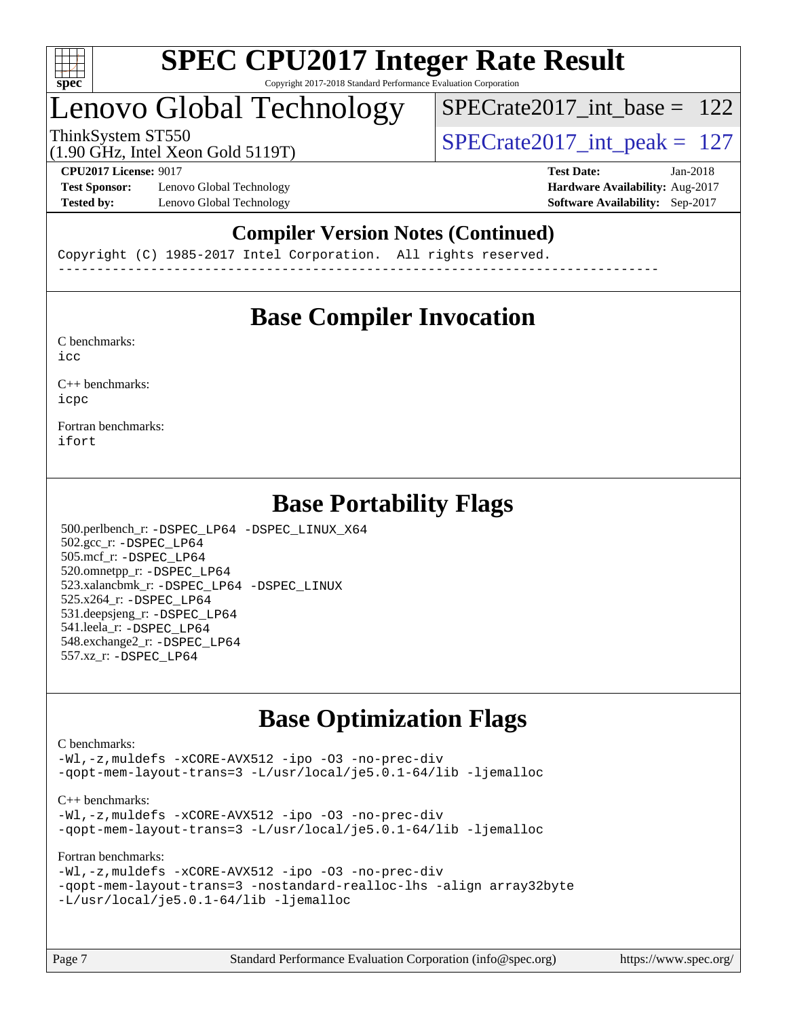

### Lenovo Global Technology

[SPECrate2017\\_int\\_base =](http://www.spec.org/auto/cpu2017/Docs/result-fields.html#SPECrate2017intbase) 122

(1.90 GHz, Intel Xeon Gold 5119T) ThinkSystem ST550<br>(1.90  $\text{CH}_2$  Intel Year Gold 5119T) [SPECrate2017\\_int\\_peak =](http://www.spec.org/auto/cpu2017/Docs/result-fields.html#SPECrate2017intpeak) 127

**[Test Sponsor:](http://www.spec.org/auto/cpu2017/Docs/result-fields.html#TestSponsor)** Lenovo Global Technology **[Hardware Availability:](http://www.spec.org/auto/cpu2017/Docs/result-fields.html#HardwareAvailability)** Aug-2017 **[Tested by:](http://www.spec.org/auto/cpu2017/Docs/result-fields.html#Testedby)** Lenovo Global Technology **[Software Availability:](http://www.spec.org/auto/cpu2017/Docs/result-fields.html#SoftwareAvailability)** Sep-2017

**[CPU2017 License:](http://www.spec.org/auto/cpu2017/Docs/result-fields.html#CPU2017License)** 9017 **[Test Date:](http://www.spec.org/auto/cpu2017/Docs/result-fields.html#TestDate)** Jan-2018

### **[Compiler Version Notes \(Continued\)](http://www.spec.org/auto/cpu2017/Docs/result-fields.html#CompilerVersionNotes)**

Copyright (C) 1985-2017 Intel Corporation. All rights reserved. ------------------------------------------------------------------------------

### **[Base Compiler Invocation](http://www.spec.org/auto/cpu2017/Docs/result-fields.html#BaseCompilerInvocation)**

[C benchmarks](http://www.spec.org/auto/cpu2017/Docs/result-fields.html#Cbenchmarks):  $i$ cc

[C++ benchmarks:](http://www.spec.org/auto/cpu2017/Docs/result-fields.html#CXXbenchmarks) [icpc](http://www.spec.org/cpu2017/results/res2018q1/cpu2017-20180205-03186.flags.html#user_CXXbase_intel_icpc_18.0_c510b6838c7f56d33e37e94d029a35b4a7bccf4766a728ee175e80a419847e808290a9b78be685c44ab727ea267ec2f070ec5dc83b407c0218cded6866a35d07)

[Fortran benchmarks](http://www.spec.org/auto/cpu2017/Docs/result-fields.html#Fortranbenchmarks): [ifort](http://www.spec.org/cpu2017/results/res2018q1/cpu2017-20180205-03186.flags.html#user_FCbase_intel_ifort_18.0_8111460550e3ca792625aed983ce982f94888b8b503583aa7ba2b8303487b4d8a21a13e7191a45c5fd58ff318f48f9492884d4413fa793fd88dd292cad7027ca)

### **[Base Portability Flags](http://www.spec.org/auto/cpu2017/Docs/result-fields.html#BasePortabilityFlags)**

 500.perlbench\_r: [-DSPEC\\_LP64](http://www.spec.org/cpu2017/results/res2018q1/cpu2017-20180205-03186.flags.html#b500.perlbench_r_basePORTABILITY_DSPEC_LP64) [-DSPEC\\_LINUX\\_X64](http://www.spec.org/cpu2017/results/res2018q1/cpu2017-20180205-03186.flags.html#b500.perlbench_r_baseCPORTABILITY_DSPEC_LINUX_X64) 502.gcc\_r: [-DSPEC\\_LP64](http://www.spec.org/cpu2017/results/res2018q1/cpu2017-20180205-03186.flags.html#suite_basePORTABILITY502_gcc_r_DSPEC_LP64) 505.mcf\_r: [-DSPEC\\_LP64](http://www.spec.org/cpu2017/results/res2018q1/cpu2017-20180205-03186.flags.html#suite_basePORTABILITY505_mcf_r_DSPEC_LP64) 520.omnetpp\_r: [-DSPEC\\_LP64](http://www.spec.org/cpu2017/results/res2018q1/cpu2017-20180205-03186.flags.html#suite_basePORTABILITY520_omnetpp_r_DSPEC_LP64) 523.xalancbmk\_r: [-DSPEC\\_LP64](http://www.spec.org/cpu2017/results/res2018q1/cpu2017-20180205-03186.flags.html#suite_basePORTABILITY523_xalancbmk_r_DSPEC_LP64) [-DSPEC\\_LINUX](http://www.spec.org/cpu2017/results/res2018q1/cpu2017-20180205-03186.flags.html#b523.xalancbmk_r_baseCXXPORTABILITY_DSPEC_LINUX) 525.x264\_r: [-DSPEC\\_LP64](http://www.spec.org/cpu2017/results/res2018q1/cpu2017-20180205-03186.flags.html#suite_basePORTABILITY525_x264_r_DSPEC_LP64) 531.deepsjeng\_r: [-DSPEC\\_LP64](http://www.spec.org/cpu2017/results/res2018q1/cpu2017-20180205-03186.flags.html#suite_basePORTABILITY531_deepsjeng_r_DSPEC_LP64) 541.leela\_r: [-DSPEC\\_LP64](http://www.spec.org/cpu2017/results/res2018q1/cpu2017-20180205-03186.flags.html#suite_basePORTABILITY541_leela_r_DSPEC_LP64) 548.exchange2\_r: [-DSPEC\\_LP64](http://www.spec.org/cpu2017/results/res2018q1/cpu2017-20180205-03186.flags.html#suite_basePORTABILITY548_exchange2_r_DSPEC_LP64) 557.xz\_r: [-DSPEC\\_LP64](http://www.spec.org/cpu2017/results/res2018q1/cpu2017-20180205-03186.flags.html#suite_basePORTABILITY557_xz_r_DSPEC_LP64)

### **[Base Optimization Flags](http://www.spec.org/auto/cpu2017/Docs/result-fields.html#BaseOptimizationFlags)**

#### [C benchmarks](http://www.spec.org/auto/cpu2017/Docs/result-fields.html#Cbenchmarks):

[-Wl,-z,muldefs](http://www.spec.org/cpu2017/results/res2018q1/cpu2017-20180205-03186.flags.html#user_CCbase_link_force_multiple1_b4cbdb97b34bdee9ceefcfe54f4c8ea74255f0b02a4b23e853cdb0e18eb4525ac79b5a88067c842dd0ee6996c24547a27a4b99331201badda8798ef8a743f577) [-xCORE-AVX512](http://www.spec.org/cpu2017/results/res2018q1/cpu2017-20180205-03186.flags.html#user_CCbase_f-xCORE-AVX512) [-ipo](http://www.spec.org/cpu2017/results/res2018q1/cpu2017-20180205-03186.flags.html#user_CCbase_f-ipo) [-O3](http://www.spec.org/cpu2017/results/res2018q1/cpu2017-20180205-03186.flags.html#user_CCbase_f-O3) [-no-prec-div](http://www.spec.org/cpu2017/results/res2018q1/cpu2017-20180205-03186.flags.html#user_CCbase_f-no-prec-div) [-qopt-mem-layout-trans=3](http://www.spec.org/cpu2017/results/res2018q1/cpu2017-20180205-03186.flags.html#user_CCbase_f-qopt-mem-layout-trans_de80db37974c74b1f0e20d883f0b675c88c3b01e9d123adea9b28688d64333345fb62bc4a798493513fdb68f60282f9a726aa07f478b2f7113531aecce732043) [-L/usr/local/je5.0.1-64/lib](http://www.spec.org/cpu2017/results/res2018q1/cpu2017-20180205-03186.flags.html#user_CCbase_jemalloc_link_path64_4b10a636b7bce113509b17f3bd0d6226c5fb2346b9178c2d0232c14f04ab830f976640479e5c33dc2bcbbdad86ecfb6634cbbd4418746f06f368b512fced5394) [-ljemalloc](http://www.spec.org/cpu2017/results/res2018q1/cpu2017-20180205-03186.flags.html#user_CCbase_jemalloc_link_lib_d1249b907c500fa1c0672f44f562e3d0f79738ae9e3c4a9c376d49f265a04b9c99b167ecedbf6711b3085be911c67ff61f150a17b3472be731631ba4d0471706)

#### [C++ benchmarks:](http://www.spec.org/auto/cpu2017/Docs/result-fields.html#CXXbenchmarks)

[-Wl,-z,muldefs](http://www.spec.org/cpu2017/results/res2018q1/cpu2017-20180205-03186.flags.html#user_CXXbase_link_force_multiple1_b4cbdb97b34bdee9ceefcfe54f4c8ea74255f0b02a4b23e853cdb0e18eb4525ac79b5a88067c842dd0ee6996c24547a27a4b99331201badda8798ef8a743f577) [-xCORE-AVX512](http://www.spec.org/cpu2017/results/res2018q1/cpu2017-20180205-03186.flags.html#user_CXXbase_f-xCORE-AVX512) [-ipo](http://www.spec.org/cpu2017/results/res2018q1/cpu2017-20180205-03186.flags.html#user_CXXbase_f-ipo) [-O3](http://www.spec.org/cpu2017/results/res2018q1/cpu2017-20180205-03186.flags.html#user_CXXbase_f-O3) [-no-prec-div](http://www.spec.org/cpu2017/results/res2018q1/cpu2017-20180205-03186.flags.html#user_CXXbase_f-no-prec-div) [-qopt-mem-layout-trans=3](http://www.spec.org/cpu2017/results/res2018q1/cpu2017-20180205-03186.flags.html#user_CXXbase_f-qopt-mem-layout-trans_de80db37974c74b1f0e20d883f0b675c88c3b01e9d123adea9b28688d64333345fb62bc4a798493513fdb68f60282f9a726aa07f478b2f7113531aecce732043) [-L/usr/local/je5.0.1-64/lib](http://www.spec.org/cpu2017/results/res2018q1/cpu2017-20180205-03186.flags.html#user_CXXbase_jemalloc_link_path64_4b10a636b7bce113509b17f3bd0d6226c5fb2346b9178c2d0232c14f04ab830f976640479e5c33dc2bcbbdad86ecfb6634cbbd4418746f06f368b512fced5394) [-ljemalloc](http://www.spec.org/cpu2017/results/res2018q1/cpu2017-20180205-03186.flags.html#user_CXXbase_jemalloc_link_lib_d1249b907c500fa1c0672f44f562e3d0f79738ae9e3c4a9c376d49f265a04b9c99b167ecedbf6711b3085be911c67ff61f150a17b3472be731631ba4d0471706)

#### [Fortran benchmarks](http://www.spec.org/auto/cpu2017/Docs/result-fields.html#Fortranbenchmarks):

```
-Wl,-z,muldefs -xCORE-AVX512 -ipo -O3 -no-prec-div
-qopt-mem-layout-trans=3 -nostandard-realloc-lhs -align array32byte
-L/usr/local/je5.0.1-64/lib -ljemalloc
```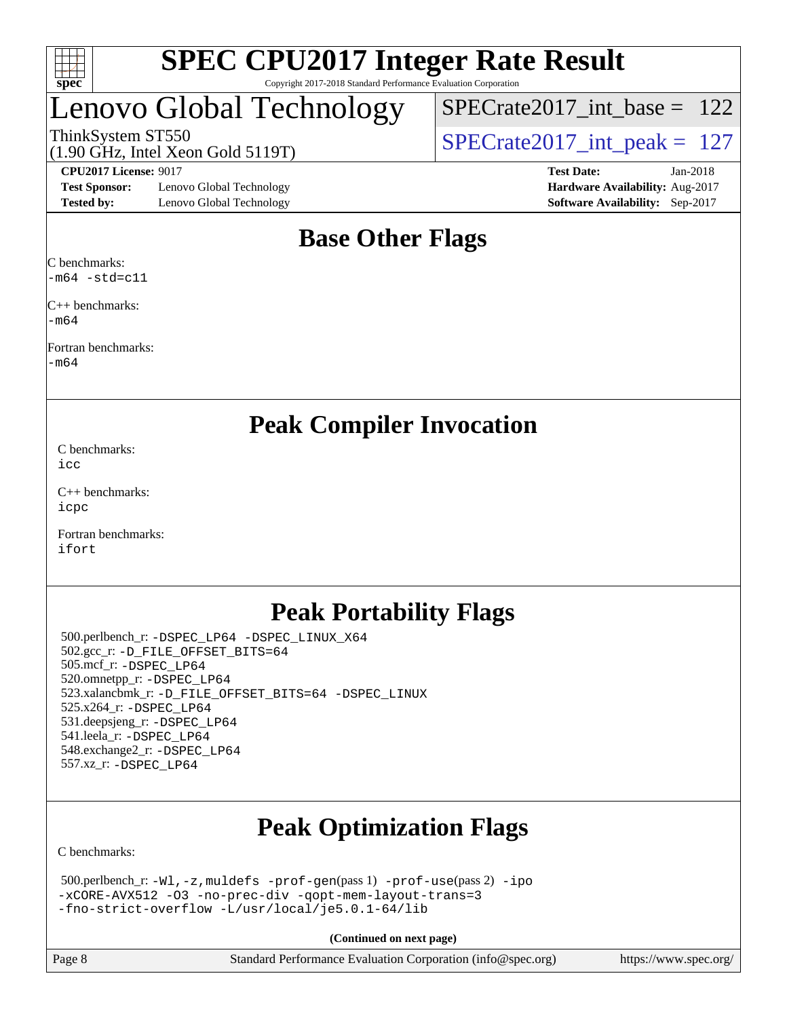

### Lenovo Global Technology

ThinkSystem ST550<br>(1.90 GHz, Intel Xeon Gold 5119T)  $\begin{array}{r} | \text{SPECrate2017\_int\_peak} = 127 \end{array}$  $SPECTate2017\_int\_base = 122$ 

(1.90 GHz, Intel Xeon Gold 5119T)

**[Test Sponsor:](http://www.spec.org/auto/cpu2017/Docs/result-fields.html#TestSponsor)** Lenovo Global Technology **[Hardware Availability:](http://www.spec.org/auto/cpu2017/Docs/result-fields.html#HardwareAvailability)** Aug-2017 **[Tested by:](http://www.spec.org/auto/cpu2017/Docs/result-fields.html#Testedby)** Lenovo Global Technology **[Software Availability:](http://www.spec.org/auto/cpu2017/Docs/result-fields.html#SoftwareAvailability)** Sep-2017

**[CPU2017 License:](http://www.spec.org/auto/cpu2017/Docs/result-fields.html#CPU2017License)** 9017 **[Test Date:](http://www.spec.org/auto/cpu2017/Docs/result-fields.html#TestDate)** Jan-2018

### **[Base Other Flags](http://www.spec.org/auto/cpu2017/Docs/result-fields.html#BaseOtherFlags)**

[C benchmarks](http://www.spec.org/auto/cpu2017/Docs/result-fields.html#Cbenchmarks): [-m64](http://www.spec.org/cpu2017/results/res2018q1/cpu2017-20180205-03186.flags.html#user_CCbase_intel_intel64_18.0_af43caccfc8ded86e7699f2159af6efc7655f51387b94da716254467f3c01020a5059329e2569e4053f409e7c9202a7efc638f7a6d1ffb3f52dea4a3e31d82ab) [-std=c11](http://www.spec.org/cpu2017/results/res2018q1/cpu2017-20180205-03186.flags.html#user_CCbase_intel_compiler_c11_mode_0e1c27790398a4642dfca32ffe6c27b5796f9c2d2676156f2e42c9c44eaad0c049b1cdb667a270c34d979996257aeb8fc440bfb01818dbc9357bd9d174cb8524)

[C++ benchmarks:](http://www.spec.org/auto/cpu2017/Docs/result-fields.html#CXXbenchmarks) [-m64](http://www.spec.org/cpu2017/results/res2018q1/cpu2017-20180205-03186.flags.html#user_CXXbase_intel_intel64_18.0_af43caccfc8ded86e7699f2159af6efc7655f51387b94da716254467f3c01020a5059329e2569e4053f409e7c9202a7efc638f7a6d1ffb3f52dea4a3e31d82ab)

[Fortran benchmarks](http://www.spec.org/auto/cpu2017/Docs/result-fields.html#Fortranbenchmarks): [-m64](http://www.spec.org/cpu2017/results/res2018q1/cpu2017-20180205-03186.flags.html#user_FCbase_intel_intel64_18.0_af43caccfc8ded86e7699f2159af6efc7655f51387b94da716254467f3c01020a5059329e2569e4053f409e7c9202a7efc638f7a6d1ffb3f52dea4a3e31d82ab)

**[Peak Compiler Invocation](http://www.spec.org/auto/cpu2017/Docs/result-fields.html#PeakCompilerInvocation)**

[C benchmarks](http://www.spec.org/auto/cpu2017/Docs/result-fields.html#Cbenchmarks): [icc](http://www.spec.org/cpu2017/results/res2018q1/cpu2017-20180205-03186.flags.html#user_CCpeak_intel_icc_18.0_66fc1ee009f7361af1fbd72ca7dcefbb700085f36577c54f309893dd4ec40d12360134090235512931783d35fd58c0460139e722d5067c5574d8eaf2b3e37e92)

[C++ benchmarks:](http://www.spec.org/auto/cpu2017/Docs/result-fields.html#CXXbenchmarks) [icpc](http://www.spec.org/cpu2017/results/res2018q1/cpu2017-20180205-03186.flags.html#user_CXXpeak_intel_icpc_18.0_c510b6838c7f56d33e37e94d029a35b4a7bccf4766a728ee175e80a419847e808290a9b78be685c44ab727ea267ec2f070ec5dc83b407c0218cded6866a35d07)

[Fortran benchmarks](http://www.spec.org/auto/cpu2017/Docs/result-fields.html#Fortranbenchmarks): [ifort](http://www.spec.org/cpu2017/results/res2018q1/cpu2017-20180205-03186.flags.html#user_FCpeak_intel_ifort_18.0_8111460550e3ca792625aed983ce982f94888b8b503583aa7ba2b8303487b4d8a21a13e7191a45c5fd58ff318f48f9492884d4413fa793fd88dd292cad7027ca)

### **[Peak Portability Flags](http://www.spec.org/auto/cpu2017/Docs/result-fields.html#PeakPortabilityFlags)**

 500.perlbench\_r: [-DSPEC\\_LP64](http://www.spec.org/cpu2017/results/res2018q1/cpu2017-20180205-03186.flags.html#b500.perlbench_r_peakPORTABILITY_DSPEC_LP64) [-DSPEC\\_LINUX\\_X64](http://www.spec.org/cpu2017/results/res2018q1/cpu2017-20180205-03186.flags.html#b500.perlbench_r_peakCPORTABILITY_DSPEC_LINUX_X64) 502.gcc\_r: [-D\\_FILE\\_OFFSET\\_BITS=64](http://www.spec.org/cpu2017/results/res2018q1/cpu2017-20180205-03186.flags.html#user_peakPORTABILITY502_gcc_r_file_offset_bits_64_5ae949a99b284ddf4e95728d47cb0843d81b2eb0e18bdfe74bbf0f61d0b064f4bda2f10ea5eb90e1dcab0e84dbc592acfc5018bc955c18609f94ddb8d550002c) 505.mcf\_r: [-DSPEC\\_LP64](http://www.spec.org/cpu2017/results/res2018q1/cpu2017-20180205-03186.flags.html#suite_peakPORTABILITY505_mcf_r_DSPEC_LP64) 520.omnetpp\_r: [-DSPEC\\_LP64](http://www.spec.org/cpu2017/results/res2018q1/cpu2017-20180205-03186.flags.html#suite_peakPORTABILITY520_omnetpp_r_DSPEC_LP64) 523.xalancbmk\_r: [-D\\_FILE\\_OFFSET\\_BITS=64](http://www.spec.org/cpu2017/results/res2018q1/cpu2017-20180205-03186.flags.html#user_peakPORTABILITY523_xalancbmk_r_file_offset_bits_64_5ae949a99b284ddf4e95728d47cb0843d81b2eb0e18bdfe74bbf0f61d0b064f4bda2f10ea5eb90e1dcab0e84dbc592acfc5018bc955c18609f94ddb8d550002c) [-DSPEC\\_LINUX](http://www.spec.org/cpu2017/results/res2018q1/cpu2017-20180205-03186.flags.html#b523.xalancbmk_r_peakCXXPORTABILITY_DSPEC_LINUX) 525.x264\_r: [-DSPEC\\_LP64](http://www.spec.org/cpu2017/results/res2018q1/cpu2017-20180205-03186.flags.html#suite_peakPORTABILITY525_x264_r_DSPEC_LP64) 531.deepsjeng\_r: [-DSPEC\\_LP64](http://www.spec.org/cpu2017/results/res2018q1/cpu2017-20180205-03186.flags.html#suite_peakPORTABILITY531_deepsjeng_r_DSPEC_LP64) 541.leela\_r: [-DSPEC\\_LP64](http://www.spec.org/cpu2017/results/res2018q1/cpu2017-20180205-03186.flags.html#suite_peakPORTABILITY541_leela_r_DSPEC_LP64) 548.exchange2\_r: [-DSPEC\\_LP64](http://www.spec.org/cpu2017/results/res2018q1/cpu2017-20180205-03186.flags.html#suite_peakPORTABILITY548_exchange2_r_DSPEC_LP64) 557.xz\_r: [-DSPEC\\_LP64](http://www.spec.org/cpu2017/results/res2018q1/cpu2017-20180205-03186.flags.html#suite_peakPORTABILITY557_xz_r_DSPEC_LP64)

## **[Peak Optimization Flags](http://www.spec.org/auto/cpu2017/Docs/result-fields.html#PeakOptimizationFlags)**

[C benchmarks](http://www.spec.org/auto/cpu2017/Docs/result-fields.html#Cbenchmarks):

```
 500.perlbench_r: -Wl,-z,muldefs -prof-gen(pass 1) -prof-use(pass 2) -ipo
-xCORE-AVX512 -O3 -no-prec-div -qopt-mem-layout-trans=3
-fno-strict-overflow -L/usr/local/je5.0.1-64/lib
```
**(Continued on next page)**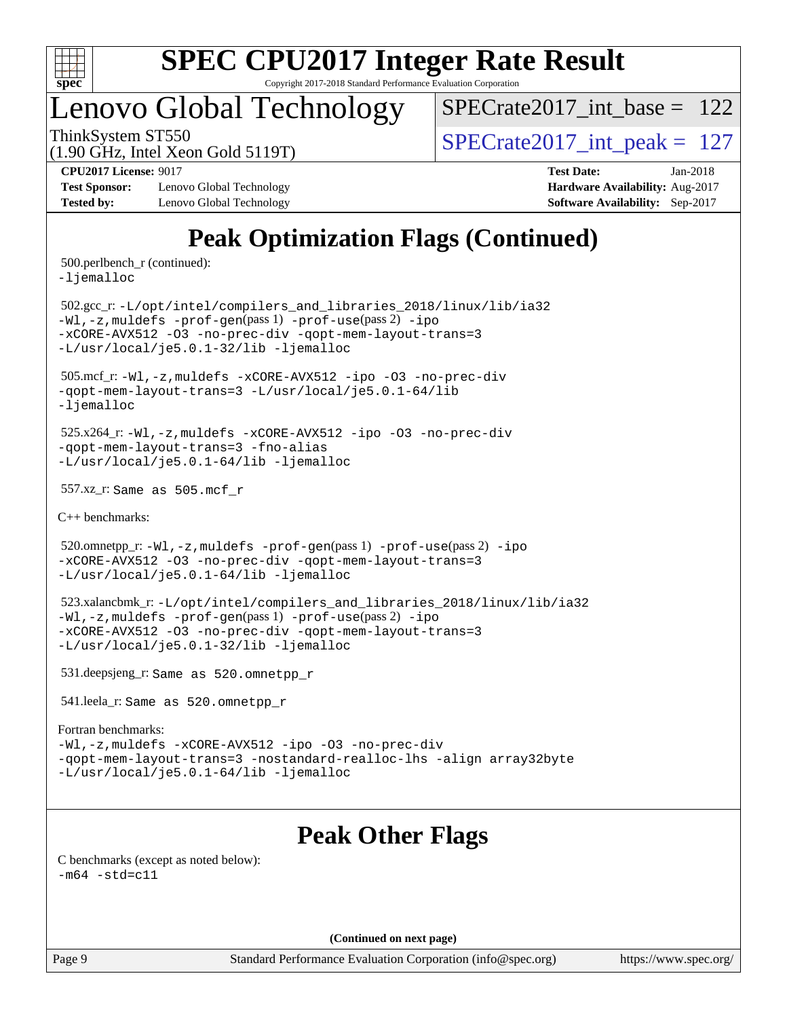

# **[SPEC CPU2017 Integer Rate Result](http://www.spec.org/auto/cpu2017/Docs/result-fields.html#SPECCPU2017IntegerRateResult)**

Copyright 2017-2018 Standard Performance Evaluation Corporation

### Lenovo Global Technology

[SPECrate2017\\_int\\_base =](http://www.spec.org/auto/cpu2017/Docs/result-fields.html#SPECrate2017intbase) 122

(1.90 GHz, Intel Xeon Gold 5119T)

ThinkSystem ST550  $SPECrate2017\_int\_peak = 127$ 

**[Test Sponsor:](http://www.spec.org/auto/cpu2017/Docs/result-fields.html#TestSponsor)** Lenovo Global Technology **[Hardware Availability:](http://www.spec.org/auto/cpu2017/Docs/result-fields.html#HardwareAvailability)** Aug-2017 **[Tested by:](http://www.spec.org/auto/cpu2017/Docs/result-fields.html#Testedby)** Lenovo Global Technology **[Software Availability:](http://www.spec.org/auto/cpu2017/Docs/result-fields.html#SoftwareAvailability)** Sep-2017

**[CPU2017 License:](http://www.spec.org/auto/cpu2017/Docs/result-fields.html#CPU2017License)** 9017 **[Test Date:](http://www.spec.org/auto/cpu2017/Docs/result-fields.html#TestDate)** Jan-2018

### **[Peak Optimization Flags \(Continued\)](http://www.spec.org/auto/cpu2017/Docs/result-fields.html#PeakOptimizationFlags)**

500.perlbench\_r (continued):

[-ljemalloc](http://www.spec.org/cpu2017/results/res2018q1/cpu2017-20180205-03186.flags.html#user_peakEXTRA_LIBS500_perlbench_r_jemalloc_link_lib_d1249b907c500fa1c0672f44f562e3d0f79738ae9e3c4a9c376d49f265a04b9c99b167ecedbf6711b3085be911c67ff61f150a17b3472be731631ba4d0471706)

 502.gcc\_r: [-L/opt/intel/compilers\\_and\\_libraries\\_2018/linux/lib/ia32](http://www.spec.org/cpu2017/results/res2018q1/cpu2017-20180205-03186.flags.html#user_peakCCLD502_gcc_r_Enable-32bit-runtime_af243bdb1d79e4c7a4f720bf8275e627de2ecd461de63307bc14cef0633fde3cd7bb2facb32dcc8be9566045fb55d40ce2b72b725f73827aa7833441b71b9343) [-Wl,-z,muldefs](http://www.spec.org/cpu2017/results/res2018q1/cpu2017-20180205-03186.flags.html#user_peakEXTRA_LDFLAGS502_gcc_r_link_force_multiple1_b4cbdb97b34bdee9ceefcfe54f4c8ea74255f0b02a4b23e853cdb0e18eb4525ac79b5a88067c842dd0ee6996c24547a27a4b99331201badda8798ef8a743f577) [-prof-gen](http://www.spec.org/cpu2017/results/res2018q1/cpu2017-20180205-03186.flags.html#user_peakPASS1_CFLAGSPASS1_LDFLAGS502_gcc_r_prof_gen_5aa4926d6013ddb2a31985c654b3eb18169fc0c6952a63635c234f711e6e63dd76e94ad52365559451ec499a2cdb89e4dc58ba4c67ef54ca681ffbe1461d6b36)(pass 1) [-prof-use](http://www.spec.org/cpu2017/results/res2018q1/cpu2017-20180205-03186.flags.html#user_peakPASS2_CFLAGSPASS2_LDFLAGS502_gcc_r_prof_use_1a21ceae95f36a2b53c25747139a6c16ca95bd9def2a207b4f0849963b97e94f5260e30a0c64f4bb623698870e679ca08317ef8150905d41bd88c6f78df73f19)(pass 2) [-ipo](http://www.spec.org/cpu2017/results/res2018q1/cpu2017-20180205-03186.flags.html#user_peakPASS1_COPTIMIZEPASS2_COPTIMIZE502_gcc_r_f-ipo) [-xCORE-AVX512](http://www.spec.org/cpu2017/results/res2018q1/cpu2017-20180205-03186.flags.html#user_peakPASS2_COPTIMIZE502_gcc_r_f-xCORE-AVX512) [-O3](http://www.spec.org/cpu2017/results/res2018q1/cpu2017-20180205-03186.flags.html#user_peakPASS1_COPTIMIZEPASS2_COPTIMIZE502_gcc_r_f-O3) [-no-prec-div](http://www.spec.org/cpu2017/results/res2018q1/cpu2017-20180205-03186.flags.html#user_peakPASS1_COPTIMIZEPASS2_COPTIMIZE502_gcc_r_f-no-prec-div) [-qopt-mem-layout-trans=3](http://www.spec.org/cpu2017/results/res2018q1/cpu2017-20180205-03186.flags.html#user_peakPASS1_COPTIMIZEPASS2_COPTIMIZE502_gcc_r_f-qopt-mem-layout-trans_de80db37974c74b1f0e20d883f0b675c88c3b01e9d123adea9b28688d64333345fb62bc4a798493513fdb68f60282f9a726aa07f478b2f7113531aecce732043) [-L/usr/local/je5.0.1-32/lib](http://www.spec.org/cpu2017/results/res2018q1/cpu2017-20180205-03186.flags.html#user_peakEXTRA_LIBS502_gcc_r_jemalloc_link_path32_e29f22e8e6c17053bbc6a0971f5a9c01a601a06bb1a59df2084b77a2fe0a2995b64fd4256feaeea39eeba3aae142e96e2b2b0a28974019c0c0c88139a84f900a) [-ljemalloc](http://www.spec.org/cpu2017/results/res2018q1/cpu2017-20180205-03186.flags.html#user_peakEXTRA_LIBS502_gcc_r_jemalloc_link_lib_d1249b907c500fa1c0672f44f562e3d0f79738ae9e3c4a9c376d49f265a04b9c99b167ecedbf6711b3085be911c67ff61f150a17b3472be731631ba4d0471706)

 505.mcf\_r: [-Wl,-z,muldefs](http://www.spec.org/cpu2017/results/res2018q1/cpu2017-20180205-03186.flags.html#user_peakEXTRA_LDFLAGS505_mcf_r_link_force_multiple1_b4cbdb97b34bdee9ceefcfe54f4c8ea74255f0b02a4b23e853cdb0e18eb4525ac79b5a88067c842dd0ee6996c24547a27a4b99331201badda8798ef8a743f577) [-xCORE-AVX512](http://www.spec.org/cpu2017/results/res2018q1/cpu2017-20180205-03186.flags.html#user_peakCOPTIMIZE505_mcf_r_f-xCORE-AVX512) [-ipo](http://www.spec.org/cpu2017/results/res2018q1/cpu2017-20180205-03186.flags.html#user_peakCOPTIMIZE505_mcf_r_f-ipo) [-O3](http://www.spec.org/cpu2017/results/res2018q1/cpu2017-20180205-03186.flags.html#user_peakCOPTIMIZE505_mcf_r_f-O3) [-no-prec-div](http://www.spec.org/cpu2017/results/res2018q1/cpu2017-20180205-03186.flags.html#user_peakCOPTIMIZE505_mcf_r_f-no-prec-div) [-qopt-mem-layout-trans=3](http://www.spec.org/cpu2017/results/res2018q1/cpu2017-20180205-03186.flags.html#user_peakCOPTIMIZE505_mcf_r_f-qopt-mem-layout-trans_de80db37974c74b1f0e20d883f0b675c88c3b01e9d123adea9b28688d64333345fb62bc4a798493513fdb68f60282f9a726aa07f478b2f7113531aecce732043) [-L/usr/local/je5.0.1-64/lib](http://www.spec.org/cpu2017/results/res2018q1/cpu2017-20180205-03186.flags.html#user_peakEXTRA_LIBS505_mcf_r_jemalloc_link_path64_4b10a636b7bce113509b17f3bd0d6226c5fb2346b9178c2d0232c14f04ab830f976640479e5c33dc2bcbbdad86ecfb6634cbbd4418746f06f368b512fced5394) [-ljemalloc](http://www.spec.org/cpu2017/results/res2018q1/cpu2017-20180205-03186.flags.html#user_peakEXTRA_LIBS505_mcf_r_jemalloc_link_lib_d1249b907c500fa1c0672f44f562e3d0f79738ae9e3c4a9c376d49f265a04b9c99b167ecedbf6711b3085be911c67ff61f150a17b3472be731631ba4d0471706)

 525.x264\_r: [-Wl,-z,muldefs](http://www.spec.org/cpu2017/results/res2018q1/cpu2017-20180205-03186.flags.html#user_peakEXTRA_LDFLAGS525_x264_r_link_force_multiple1_b4cbdb97b34bdee9ceefcfe54f4c8ea74255f0b02a4b23e853cdb0e18eb4525ac79b5a88067c842dd0ee6996c24547a27a4b99331201badda8798ef8a743f577) [-xCORE-AVX512](http://www.spec.org/cpu2017/results/res2018q1/cpu2017-20180205-03186.flags.html#user_peakCOPTIMIZE525_x264_r_f-xCORE-AVX512) [-ipo](http://www.spec.org/cpu2017/results/res2018q1/cpu2017-20180205-03186.flags.html#user_peakCOPTIMIZE525_x264_r_f-ipo) [-O3](http://www.spec.org/cpu2017/results/res2018q1/cpu2017-20180205-03186.flags.html#user_peakCOPTIMIZE525_x264_r_f-O3) [-no-prec-div](http://www.spec.org/cpu2017/results/res2018q1/cpu2017-20180205-03186.flags.html#user_peakCOPTIMIZE525_x264_r_f-no-prec-div) [-qopt-mem-layout-trans=3](http://www.spec.org/cpu2017/results/res2018q1/cpu2017-20180205-03186.flags.html#user_peakCOPTIMIZE525_x264_r_f-qopt-mem-layout-trans_de80db37974c74b1f0e20d883f0b675c88c3b01e9d123adea9b28688d64333345fb62bc4a798493513fdb68f60282f9a726aa07f478b2f7113531aecce732043) [-fno-alias](http://www.spec.org/cpu2017/results/res2018q1/cpu2017-20180205-03186.flags.html#user_peakEXTRA_OPTIMIZE525_x264_r_f-no-alias_77dbac10d91cbfe898fbf4a29d1b29b694089caa623bdd1baccc9957d4edbe8d106c0b357e2748a65b44fc9e83d78098bb898077f3fe92f9faf24f7bd4a07ed7) [-L/usr/local/je5.0.1-64/lib](http://www.spec.org/cpu2017/results/res2018q1/cpu2017-20180205-03186.flags.html#user_peakEXTRA_LIBS525_x264_r_jemalloc_link_path64_4b10a636b7bce113509b17f3bd0d6226c5fb2346b9178c2d0232c14f04ab830f976640479e5c33dc2bcbbdad86ecfb6634cbbd4418746f06f368b512fced5394) [-ljemalloc](http://www.spec.org/cpu2017/results/res2018q1/cpu2017-20180205-03186.flags.html#user_peakEXTRA_LIBS525_x264_r_jemalloc_link_lib_d1249b907c500fa1c0672f44f562e3d0f79738ae9e3c4a9c376d49f265a04b9c99b167ecedbf6711b3085be911c67ff61f150a17b3472be731631ba4d0471706)

557.xz\_r: Same as 505.mcf\_r

[C++ benchmarks:](http://www.spec.org/auto/cpu2017/Docs/result-fields.html#CXXbenchmarks)

520.omnetpp\_r: $-Wl$ ,-z,muldefs -prof-qen(pass 1) [-prof-use](http://www.spec.org/cpu2017/results/res2018q1/cpu2017-20180205-03186.flags.html#user_peakPASS2_CXXFLAGSPASS2_LDFLAGS520_omnetpp_r_prof_use_1a21ceae95f36a2b53c25747139a6c16ca95bd9def2a207b4f0849963b97e94f5260e30a0c64f4bb623698870e679ca08317ef8150905d41bd88c6f78df73f19)(pass 2) [-ipo](http://www.spec.org/cpu2017/results/res2018q1/cpu2017-20180205-03186.flags.html#user_peakPASS1_CXXOPTIMIZEPASS2_CXXOPTIMIZE520_omnetpp_r_f-ipo) [-xCORE-AVX512](http://www.spec.org/cpu2017/results/res2018q1/cpu2017-20180205-03186.flags.html#user_peakPASS2_CXXOPTIMIZE520_omnetpp_r_f-xCORE-AVX512) [-O3](http://www.spec.org/cpu2017/results/res2018q1/cpu2017-20180205-03186.flags.html#user_peakPASS1_CXXOPTIMIZEPASS2_CXXOPTIMIZE520_omnetpp_r_f-O3) [-no-prec-div](http://www.spec.org/cpu2017/results/res2018q1/cpu2017-20180205-03186.flags.html#user_peakPASS1_CXXOPTIMIZEPASS2_CXXOPTIMIZE520_omnetpp_r_f-no-prec-div) [-qopt-mem-layout-trans=3](http://www.spec.org/cpu2017/results/res2018q1/cpu2017-20180205-03186.flags.html#user_peakPASS1_CXXOPTIMIZEPASS2_CXXOPTIMIZE520_omnetpp_r_f-qopt-mem-layout-trans_de80db37974c74b1f0e20d883f0b675c88c3b01e9d123adea9b28688d64333345fb62bc4a798493513fdb68f60282f9a726aa07f478b2f7113531aecce732043) [-L/usr/local/je5.0.1-64/lib](http://www.spec.org/cpu2017/results/res2018q1/cpu2017-20180205-03186.flags.html#user_peakEXTRA_LIBS520_omnetpp_r_jemalloc_link_path64_4b10a636b7bce113509b17f3bd0d6226c5fb2346b9178c2d0232c14f04ab830f976640479e5c33dc2bcbbdad86ecfb6634cbbd4418746f06f368b512fced5394) [-ljemalloc](http://www.spec.org/cpu2017/results/res2018q1/cpu2017-20180205-03186.flags.html#user_peakEXTRA_LIBS520_omnetpp_r_jemalloc_link_lib_d1249b907c500fa1c0672f44f562e3d0f79738ae9e3c4a9c376d49f265a04b9c99b167ecedbf6711b3085be911c67ff61f150a17b3472be731631ba4d0471706)

 523.xalancbmk\_r: [-L/opt/intel/compilers\\_and\\_libraries\\_2018/linux/lib/ia32](http://www.spec.org/cpu2017/results/res2018q1/cpu2017-20180205-03186.flags.html#user_peakCXXLD523_xalancbmk_r_Enable-32bit-runtime_af243bdb1d79e4c7a4f720bf8275e627de2ecd461de63307bc14cef0633fde3cd7bb2facb32dcc8be9566045fb55d40ce2b72b725f73827aa7833441b71b9343) [-Wl,-z,muldefs](http://www.spec.org/cpu2017/results/res2018q1/cpu2017-20180205-03186.flags.html#user_peakEXTRA_LDFLAGS523_xalancbmk_r_link_force_multiple1_b4cbdb97b34bdee9ceefcfe54f4c8ea74255f0b02a4b23e853cdb0e18eb4525ac79b5a88067c842dd0ee6996c24547a27a4b99331201badda8798ef8a743f577) [-prof-gen](http://www.spec.org/cpu2017/results/res2018q1/cpu2017-20180205-03186.flags.html#user_peakPASS1_CXXFLAGSPASS1_LDFLAGS523_xalancbmk_r_prof_gen_5aa4926d6013ddb2a31985c654b3eb18169fc0c6952a63635c234f711e6e63dd76e94ad52365559451ec499a2cdb89e4dc58ba4c67ef54ca681ffbe1461d6b36)(pass 1) [-prof-use](http://www.spec.org/cpu2017/results/res2018q1/cpu2017-20180205-03186.flags.html#user_peakPASS2_CXXFLAGSPASS2_LDFLAGS523_xalancbmk_r_prof_use_1a21ceae95f36a2b53c25747139a6c16ca95bd9def2a207b4f0849963b97e94f5260e30a0c64f4bb623698870e679ca08317ef8150905d41bd88c6f78df73f19)(pass 2) [-ipo](http://www.spec.org/cpu2017/results/res2018q1/cpu2017-20180205-03186.flags.html#user_peakPASS1_CXXOPTIMIZEPASS2_CXXOPTIMIZE523_xalancbmk_r_f-ipo) [-xCORE-AVX512](http://www.spec.org/cpu2017/results/res2018q1/cpu2017-20180205-03186.flags.html#user_peakPASS2_CXXOPTIMIZE523_xalancbmk_r_f-xCORE-AVX512) [-O3](http://www.spec.org/cpu2017/results/res2018q1/cpu2017-20180205-03186.flags.html#user_peakPASS1_CXXOPTIMIZEPASS2_CXXOPTIMIZE523_xalancbmk_r_f-O3) [-no-prec-div](http://www.spec.org/cpu2017/results/res2018q1/cpu2017-20180205-03186.flags.html#user_peakPASS1_CXXOPTIMIZEPASS2_CXXOPTIMIZE523_xalancbmk_r_f-no-prec-div) [-qopt-mem-layout-trans=3](http://www.spec.org/cpu2017/results/res2018q1/cpu2017-20180205-03186.flags.html#user_peakPASS1_CXXOPTIMIZEPASS2_CXXOPTIMIZE523_xalancbmk_r_f-qopt-mem-layout-trans_de80db37974c74b1f0e20d883f0b675c88c3b01e9d123adea9b28688d64333345fb62bc4a798493513fdb68f60282f9a726aa07f478b2f7113531aecce732043) [-L/usr/local/je5.0.1-32/lib](http://www.spec.org/cpu2017/results/res2018q1/cpu2017-20180205-03186.flags.html#user_peakEXTRA_LIBS523_xalancbmk_r_jemalloc_link_path32_e29f22e8e6c17053bbc6a0971f5a9c01a601a06bb1a59df2084b77a2fe0a2995b64fd4256feaeea39eeba3aae142e96e2b2b0a28974019c0c0c88139a84f900a) [-ljemalloc](http://www.spec.org/cpu2017/results/res2018q1/cpu2017-20180205-03186.flags.html#user_peakEXTRA_LIBS523_xalancbmk_r_jemalloc_link_lib_d1249b907c500fa1c0672f44f562e3d0f79738ae9e3c4a9c376d49f265a04b9c99b167ecedbf6711b3085be911c67ff61f150a17b3472be731631ba4d0471706)

531.deepsjeng\_r: Same as 520.omnetpp\_r

541.leela\_r: Same as 520.omnetpp\_r

#### [Fortran benchmarks](http://www.spec.org/auto/cpu2017/Docs/result-fields.html#Fortranbenchmarks):

[-Wl,-z,muldefs](http://www.spec.org/cpu2017/results/res2018q1/cpu2017-20180205-03186.flags.html#user_FCpeak_link_force_multiple1_b4cbdb97b34bdee9ceefcfe54f4c8ea74255f0b02a4b23e853cdb0e18eb4525ac79b5a88067c842dd0ee6996c24547a27a4b99331201badda8798ef8a743f577) [-xCORE-AVX512](http://www.spec.org/cpu2017/results/res2018q1/cpu2017-20180205-03186.flags.html#user_FCpeak_f-xCORE-AVX512) [-ipo](http://www.spec.org/cpu2017/results/res2018q1/cpu2017-20180205-03186.flags.html#user_FCpeak_f-ipo) [-O3](http://www.spec.org/cpu2017/results/res2018q1/cpu2017-20180205-03186.flags.html#user_FCpeak_f-O3) [-no-prec-div](http://www.spec.org/cpu2017/results/res2018q1/cpu2017-20180205-03186.flags.html#user_FCpeak_f-no-prec-div) [-qopt-mem-layout-trans=3](http://www.spec.org/cpu2017/results/res2018q1/cpu2017-20180205-03186.flags.html#user_FCpeak_f-qopt-mem-layout-trans_de80db37974c74b1f0e20d883f0b675c88c3b01e9d123adea9b28688d64333345fb62bc4a798493513fdb68f60282f9a726aa07f478b2f7113531aecce732043) [-nostandard-realloc-lhs](http://www.spec.org/cpu2017/results/res2018q1/cpu2017-20180205-03186.flags.html#user_FCpeak_f_2003_std_realloc_82b4557e90729c0f113870c07e44d33d6f5a304b4f63d4c15d2d0f1fab99f5daaed73bdb9275d9ae411527f28b936061aa8b9c8f2d63842963b95c9dd6426b8a) [-align array32byte](http://www.spec.org/cpu2017/results/res2018q1/cpu2017-20180205-03186.flags.html#user_FCpeak_align_array32byte_b982fe038af199962ba9a80c053b8342c548c85b40b8e86eb3cc33dee0d7986a4af373ac2d51c3f7cf710a18d62fdce2948f201cd044323541f22fc0fffc51b6) [-L/usr/local/je5.0.1-64/lib](http://www.spec.org/cpu2017/results/res2018q1/cpu2017-20180205-03186.flags.html#user_FCpeak_jemalloc_link_path64_4b10a636b7bce113509b17f3bd0d6226c5fb2346b9178c2d0232c14f04ab830f976640479e5c33dc2bcbbdad86ecfb6634cbbd4418746f06f368b512fced5394) [-ljemalloc](http://www.spec.org/cpu2017/results/res2018q1/cpu2017-20180205-03186.flags.html#user_FCpeak_jemalloc_link_lib_d1249b907c500fa1c0672f44f562e3d0f79738ae9e3c4a9c376d49f265a04b9c99b167ecedbf6711b3085be911c67ff61f150a17b3472be731631ba4d0471706)

### **[Peak Other Flags](http://www.spec.org/auto/cpu2017/Docs/result-fields.html#PeakOtherFlags)**

[C benchmarks \(except as noted below\)](http://www.spec.org/auto/cpu2017/Docs/result-fields.html#Cbenchmarksexceptasnotedbelow):  $-m64 - std= c11$  $-m64 - std= c11$ 

**(Continued on next page)**

Page 9 Standard Performance Evaluation Corporation [\(info@spec.org\)](mailto:info@spec.org) <https://www.spec.org/>